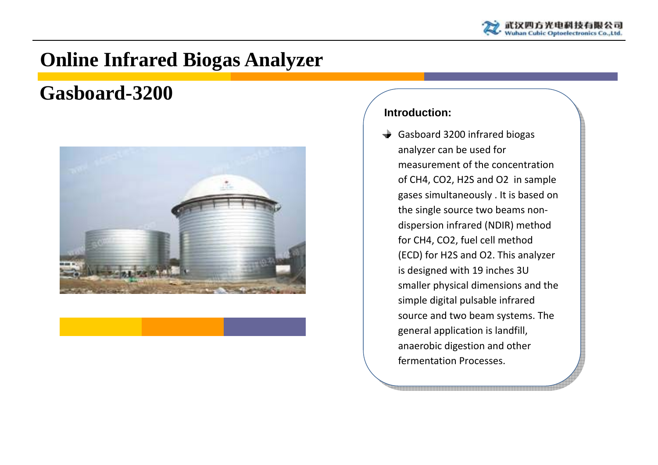

# **Online Infrared Biogas Analyzer**

## **Gasboard-3200**



#### **Introduction:**

Gasboard 3200 infrared biogas analyzer can be used for measurement of the concentration of CH4, CO2, H2S and O2 in sample gases simultaneously . It is based on the single source two beams non‐ dispersion infrared (NDIR) method for CH4, CO2, fuel cell method (ECD) for H2S and O2. This analyzer is designed with 19 inches 3U smaller physical dimensions and the simple digital pulsable infrared source and two beam systems. The general application is landfill, anaerobic digestion and other fermentation Processes.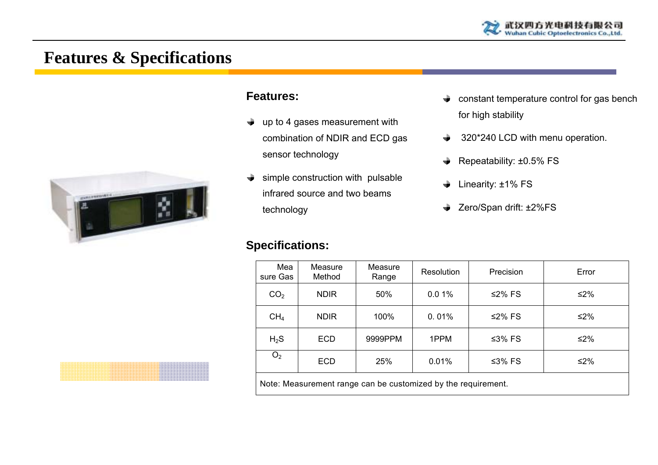

### **Features & Specifications**



#### **Features:**

- $\rightarrow$  up to 4 gases measurement with combination of NDIR and ECD gas sensor technology
- $\rightarrow$  simple construction with pulsable infrared source and two beams technology

#### **Specifications:**

- $\rightarrow$  constant temperature control for gas bench for high stability
- **→** 320\*240 LCD with menu operation.
- $\triangleq$  Repeatability: ±0.5% FS
- **↓** Linearity: ±1% FS
- **→** Zero/Span drift: ±2%FS

| Mea<br>sure Gas                                               | Measure<br>Method | Measure<br>Range | Resolution | Precision | Error  |
|---------------------------------------------------------------|-------------------|------------------|------------|-----------|--------|
| CO <sub>2</sub>                                               | <b>NDIR</b>       | 50%              | 0.01%      | ≤2% FS    | $≤2%$  |
| CH <sub>4</sub>                                               | <b>NDIR</b>       | 100%             | 0.01%      | ≤2% FS    | $≤2\%$ |
| $H_2S$                                                        | <b>ECD</b>        | 9999PPM          | 1PPM       | ≤3% FS    | $≤2%$  |
| O <sub>2</sub>                                                | <b>ECD</b>        | 25%              | 0.01%      | ≤3% FS    | ≤2%    |
| Note: Measurement range can be customized by the requirement. |                   |                  |            |           |        |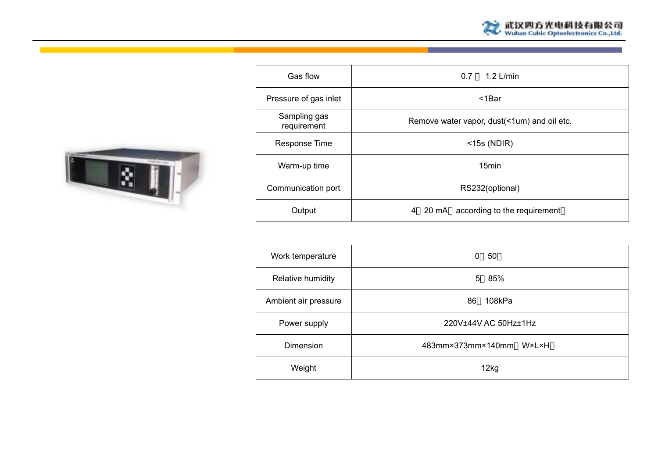



| Gas flow                    | $1.2$ L/min<br>0.7                          |
|-----------------------------|---------------------------------------------|
| Pressure of gas inlet       | $<$ 1 $Bar$                                 |
| Sampling gas<br>requirement | Remove water vapor, dust(<1um) and oil etc. |
| Response Time               | $<$ 15s (NDIR)                              |
| Warm-up time                | 15 <sub>min</sub>                           |
| Communication port          | RS232(optional)                             |
| Output                      | 4 20 mA according to the requirement        |

| Work temperature     | 50<br>0                 |
|----------------------|-------------------------|
| Relative humidity    | 85%<br>5                |
| Ambient air pressure | 86<br>108kPa            |
| Power supply         | 220V±44V AC 50Hz±1Hz    |
| Dimension            | 483mm×373mm×140mm W×L×H |
| Weight               | 12kg                    |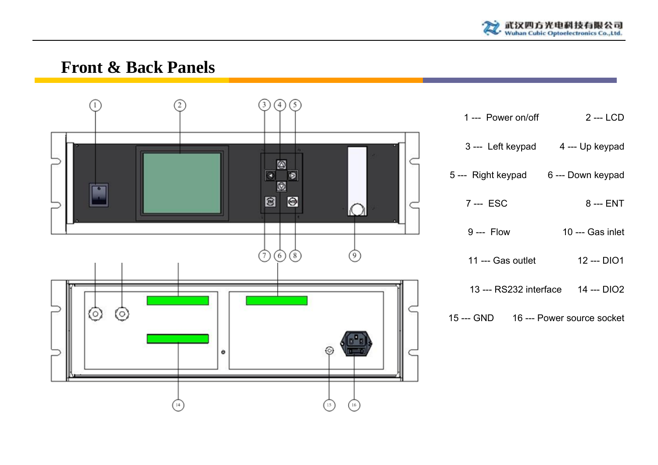

### **Front & Back Panels**